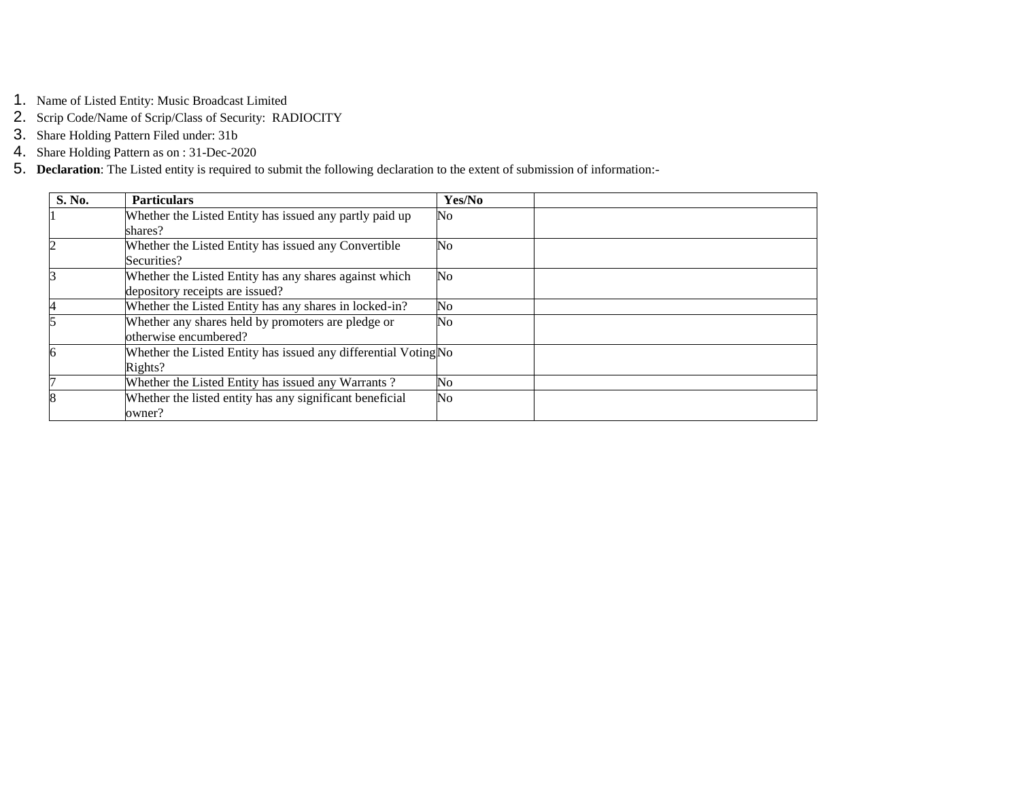- 1. Name of Listed Entity: Music Broadcast Limited
- 2. Scrip Code/Name of Scrip/Class of Security: RADIOCITY
- 3. Share Holding Pattern Filed under: 31b
- 4. Share Holding Pattern as on : 31-Dec-2020
- 5. **Declaration**: The Listed entity is required to submit the following declaration to the extent of submission of information:-

| S. No. | <b>Particulars</b>                                              | Yes/No         |  |
|--------|-----------------------------------------------------------------|----------------|--|
|        | Whether the Listed Entity has issued any partly paid up         | No             |  |
|        | shares?                                                         |                |  |
|        | Whether the Listed Entity has issued any Convertible            | No             |  |
|        | Securities?                                                     |                |  |
|        | Whether the Listed Entity has any shares against which          | N <sub>0</sub> |  |
|        | depository receipts are issued?                                 |                |  |
| 4      | Whether the Listed Entity has any shares in locked-in?          | No             |  |
|        | Whether any shares held by promoters are pledge or              | No             |  |
|        | otherwise encumbered?                                           |                |  |
| 6      | Whether the Listed Entity has issued any differential Voting No |                |  |
|        | Rights?                                                         |                |  |
|        | Whether the Listed Entity has issued any Warrants?              | N <sub>0</sub> |  |
|        | Whether the listed entity has any significant beneficial        | N <sub>0</sub> |  |
|        | owner?                                                          |                |  |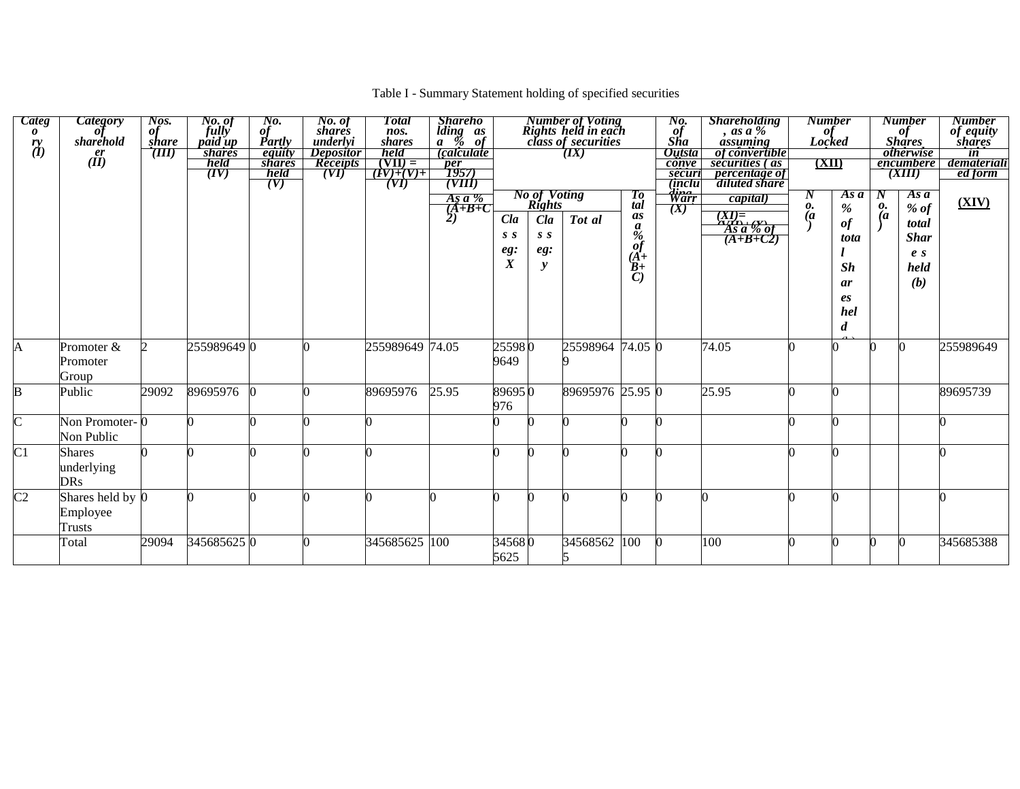## Table I - Summary Statement holding of specified securities

| <b>Categ</b><br>$\boldsymbol{\theta}$<br>rrv<br>$\vec{a}$ | <b>Category</b><br>пı<br>sharehold<br>er<br>$(\dot{II})$ | Nos.<br>of<br>share<br>(TII) | No. of<br>fully<br>paid up<br><b>shares</b><br>held<br>(IV) | No.<br>$\overrightarrow{g}$ <i>Partly</i><br>equity<br><i>shares</i><br>held<br>(V) | No. of<br>shares<br>underlyi<br><i>Depositor</i><br><b>Receipts</b><br>(VI) | Total<br>nos.<br><i>shares</i><br>held<br>$(VII) =$<br>$(V)+(V)+$<br>(VI) | <b>Shareho</b><br>$\begin{matrix}\n\text{iding} & \text{as} \\ a & \text{%} & \text{of}\n\end{matrix}$<br><i>calculate</i><br>$\frac{\overline{per}}{\overline{1957}}$<br>$\frac{1957}{(VIII)}$<br>As $a\%$ |                                       | <b>No of Voting</b><br><b>Rights</b> | <b>Number of Voting<br/>Rights held in each<br/>class of securities</b><br>(TX) | Tо                                                                     | No.<br>$\frac{\partial f}{\partial h}$<br><b>Outsta</b><br>conve<br>securi<br><i>(inclu</i><br><del>Warr</del> | <b>Shareholding</b><br>as a %<br>assuming<br><i>of convertible</i><br>securities (as<br><i>percentage of</i><br>diluted share<br>capital) | <b>Number</b><br>of<br>Locked<br>(XII)<br>N | Asa                                              | N                    | <b>Number</b><br>$\frac{of}{\text{Shares}}$<br><i><b>otherwise</b></i><br>encumbere<br>(XIII)<br>Asa | <b>Number</b><br>of equity<br>shares<br>$\overline{\mathbf{m}}$<br>demateriali<br>ed form |
|-----------------------------------------------------------|----------------------------------------------------------|------------------------------|-------------------------------------------------------------|-------------------------------------------------------------------------------------|-----------------------------------------------------------------------------|---------------------------------------------------------------------------|-------------------------------------------------------------------------------------------------------------------------------------------------------------------------------------------------------------|---------------------------------------|--------------------------------------|---------------------------------------------------------------------------------|------------------------------------------------------------------------|----------------------------------------------------------------------------------------------------------------|-------------------------------------------------------------------------------------------------------------------------------------------|---------------------------------------------|--------------------------------------------------|----------------------|------------------------------------------------------------------------------------------------------|-------------------------------------------------------------------------------------------|
|                                                           |                                                          |                              |                                                             |                                                                                     |                                                                             |                                                                           | $(A+B+C)$<br>2)                                                                                                                                                                                             | Cla<br>S S<br>eg:<br>$\boldsymbol{X}$ | Cla<br>S S<br>eg:<br>y               | Tot al                                                                          | tal<br>as<br>a<br>$\%$<br><b>of</b><br>$(A^+$<br>$B+$<br>$\mathcal{C}$ | (X)                                                                                                            | $\frac{(XI) =}{\overbrace{AS} \overbrace{a} \sqrt[n]{a}}$<br>$\overline{A+B+C2}$                                                          | о.<br>$\overline{a}$                        | $\%$<br>of<br>tota<br>Sh<br>ar<br>es<br>hel<br>d | 0.<br>$\overline{a}$ | $%$ of<br>total<br><b>Shar</b><br>e <sub>s</sub><br>held<br>(b)                                      | (XIV)                                                                                     |
| A                                                         | Promoter &<br>Promoter<br>Group                          | h.                           | 2559896490                                                  |                                                                                     |                                                                             | 255989649 74.05                                                           |                                                                                                                                                                                                             | 255980<br>9649                        |                                      | 25598964                                                                        | 74.05 0                                                                |                                                                                                                | 74.05                                                                                                                                     |                                             |                                                  |                      |                                                                                                      | 255989649                                                                                 |
| $\mathbf B$                                               | Public                                                   | 29092                        | 89695976                                                    |                                                                                     |                                                                             | 89695976                                                                  | 25.95                                                                                                                                                                                                       | 896950<br>976                         |                                      | 89695976 25.95 0                                                                |                                                                        |                                                                                                                | 25.95                                                                                                                                     |                                             |                                                  |                      |                                                                                                      | 89695739                                                                                  |
| $\mathbf C$                                               | Non Promoter-0<br>Non Public                             |                              |                                                             |                                                                                     |                                                                             |                                                                           |                                                                                                                                                                                                             |                                       |                                      |                                                                                 |                                                                        |                                                                                                                |                                                                                                                                           |                                             |                                                  |                      |                                                                                                      |                                                                                           |
| C <sub>1</sub>                                            | <b>Shares</b><br>underlying<br><b>DRs</b>                |                              |                                                             |                                                                                     |                                                                             |                                                                           |                                                                                                                                                                                                             |                                       |                                      |                                                                                 |                                                                        |                                                                                                                |                                                                                                                                           |                                             |                                                  |                      |                                                                                                      |                                                                                           |
| $\overline{C2}$                                           | Shares held by 0<br>Employee<br><b>Trusts</b>            |                              |                                                             |                                                                                     |                                                                             |                                                                           |                                                                                                                                                                                                             |                                       |                                      |                                                                                 |                                                                        |                                                                                                                |                                                                                                                                           |                                             |                                                  |                      |                                                                                                      |                                                                                           |
|                                                           | Total                                                    | 29094                        | 3456856250                                                  |                                                                                     |                                                                             | 345685625 100                                                             |                                                                                                                                                                                                             | 345680<br>5625                        |                                      | 34568562                                                                        | 100                                                                    |                                                                                                                | 100                                                                                                                                       |                                             |                                                  |                      |                                                                                                      | 345685388                                                                                 |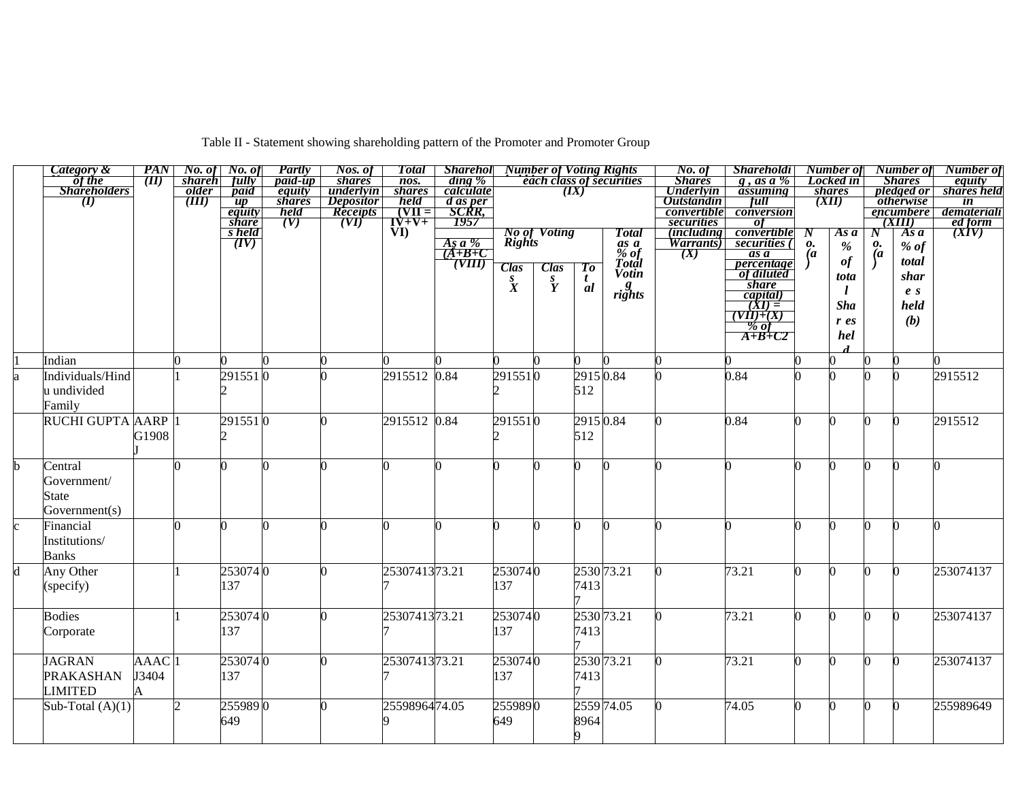|  |  | Table II - Statement showing shareholding pattern of the Promoter and Promoter Group |  |  |
|--|--|--------------------------------------------------------------------------------------|--|--|
|  |  |                                                                                      |  |  |

|   | Category &             | PAN                 | No. of         | No. of                                           | Partly           | Nos. of                       | <b>Total</b>                                                                                | <b>Sharehol</b> Number of Voting Rights      |                  |                               |                |                                 | No. of                         | <i><b>Shareholdi</b></i>                                                       |                | Number of                           |                          | Number of                         | Number of                                         |
|---|------------------------|---------------------|----------------|--------------------------------------------------|------------------|-------------------------------|---------------------------------------------------------------------------------------------|----------------------------------------------|------------------|-------------------------------|----------------|---------------------------------|--------------------------------|--------------------------------------------------------------------------------|----------------|-------------------------------------|--------------------------|-----------------------------------|---------------------------------------------------|
|   | of the<br>Shareholders | $(\Pi)$             | <i>shareh</i>  | fully                                            | <i>paid-up</i>   | <i>shares</i>                 | $\overline{nos.}$                                                                           | ding %<br>calculate                          |                  |                               |                | <b>each class of securities</b> | <b>Shares</b>                  | $\overline{g}$ , as a %                                                        |                | Locked in                           |                          | <b>Shares</b>                     | equity                                            |
|   | $\bm{\pi}$             |                     | older<br>(III) | paid<br>$\boldsymbol{u}\boldsymbol{p}$           | equity<br>shares | underlyin<br><i>Depositor</i> | <i>shares</i><br>held                                                                       |                                              |                  |                               | (IX)           |                                 | Underlyin<br><b>Outstandin</b> | assuming<br><b>Full</b>                                                        |                | <i>shares</i><br>$\overline{(XII)}$ |                          | $p$ ledged or<br><i>otherwise</i> | shares held<br>$\overline{\mathbf{in}}$           |
|   |                        |                     |                | equity                                           | held             | Receipts                      |                                                                                             | <u>d as per</u><br>SCRR,<br>1957             |                  |                               |                |                                 | convertible                    | conversion                                                                     |                |                                     |                          | <i>encumbere</i>                  | demateriali                                       |
|   |                        |                     |                | <i>share</i>                                     | (V)              | (VI)                          | $\begin{array}{c}\n\hline\n\text{[VII]} \\ \hline\n\text{[V+V+} \\ \text{VI)}\n\end{array}$ |                                              |                  |                               |                |                                 |                                | -of                                                                            |                |                                     |                          | (XIII)                            | ed form                                           |
|   |                        |                     |                | $\frac{\overline{s}}{\overline{s}}$ held<br>(IV) |                  |                               |                                                                                             |                                              |                  | <b>No of Voting</b><br>Rights |                | <b>Total</b>                    | securities<br>(including)      | convertible                                                                    | $\bm{N}$       | As a                                | N                        | As a                              | $\frac{\partial \mathbf{w}}{\partial \mathbf{X}}$ |
|   |                        |                     |                |                                                  |                  |                               |                                                                                             | $\frac{As\ a\ \%}{(A+B+C)}$                  |                  |                               |                |                                 | <i>Warrants</i>                | securities (                                                                   | 0.             | $\%$                                | $\boldsymbol{\varrho}$ . | $%$ of                            |                                                   |
|   |                        |                     |                |                                                  |                  |                               |                                                                                             |                                              |                  |                               |                | $\frac{as}{\%}$ of              | (X)                            | as a                                                                           | $\overline{a}$ |                                     | $\overline{a}$           |                                   |                                                   |
|   |                        |                     |                |                                                  |                  |                               |                                                                                             | $\overline{\overline{\text{}}(\text{VIII})}$ | <b>Clas</b>      | <b>Clas</b>                   | To             | Total                           |                                | <i>percentage</i><br>of diluted                                                |                | $\it of$                            |                          | total                             |                                                   |
|   |                        |                     |                |                                                  |                  |                               |                                                                                             |                                              |                  |                               |                | <b>Votin</b>                    |                                |                                                                                |                | tota                                |                          | shar                              |                                                   |
|   |                        |                     |                |                                                  |                  |                               |                                                                                             |                                              | $\overset{S}{X}$ | $\overset{s}{Y}$              | $\frac{t}{al}$ | $\frac{g}{right}$               |                                | <i>share</i>                                                                   |                |                                     |                          | e <sub>s</sub>                    |                                                   |
|   |                        |                     |                |                                                  |                  |                               |                                                                                             |                                              |                  |                               |                |                                 |                                |                                                                                |                | <b>Sha</b>                          |                          | held                              |                                                   |
|   |                        |                     |                |                                                  |                  |                               |                                                                                             |                                              |                  |                               |                |                                 |                                |                                                                                |                |                                     |                          |                                   |                                                   |
|   |                        |                     |                |                                                  |                  |                               |                                                                                             |                                              |                  |                               |                |                                 |                                |                                                                                |                | $r$ es                              |                          | (b)                               |                                                   |
|   |                        |                     |                |                                                  |                  |                               |                                                                                             |                                              |                  |                               |                |                                 |                                | $\frac{capital)}{(XI) =$<br>$\frac{(YII)+(X)}{% of}$<br>$\frac{WII+X}{A+B+CZ}$ |                | hel                                 |                          |                                   |                                                   |
|   |                        |                     |                |                                                  |                  |                               |                                                                                             |                                              |                  |                               |                |                                 |                                |                                                                                |                |                                     |                          |                                   |                                                   |
|   | Indian                 |                     |                |                                                  |                  |                               |                                                                                             |                                              |                  |                               |                |                                 |                                |                                                                                |                | ∩                                   |                          |                                   |                                                   |
| a | Individuals/Hind       |                     |                | 2915510                                          |                  |                               | 2915512 0.84                                                                                |                                              | 2915510          |                               | 29150.84       |                                 |                                | 0.84                                                                           |                | U                                   |                          |                                   | 2915512                                           |
|   | u undivided            |                     |                |                                                  |                  |                               |                                                                                             |                                              |                  |                               | 512            |                                 |                                |                                                                                |                |                                     |                          |                                   |                                                   |
|   | Family                 |                     |                |                                                  |                  |                               |                                                                                             |                                              |                  |                               |                |                                 |                                |                                                                                |                |                                     |                          |                                   |                                                   |
|   |                        |                     |                |                                                  |                  |                               |                                                                                             |                                              |                  |                               |                |                                 |                                |                                                                                |                |                                     |                          |                                   |                                                   |
|   | RUCHI GUPTA AARP 1     |                     |                | 2915510                                          |                  |                               | 2915512 0.84                                                                                |                                              | 2915510          |                               | 29150.84       |                                 |                                | 0.84                                                                           | 0              | O                                   |                          | O.                                | 2915512                                           |
|   |                        | G1908               |                |                                                  |                  |                               |                                                                                             |                                              |                  |                               | 512            |                                 |                                |                                                                                |                |                                     |                          |                                   |                                                   |
|   |                        |                     |                |                                                  |                  |                               |                                                                                             |                                              |                  |                               |                |                                 |                                |                                                                                |                |                                     |                          |                                   |                                                   |
|   | Central                |                     |                |                                                  |                  |                               |                                                                                             |                                              |                  |                               |                |                                 |                                |                                                                                |                | n                                   |                          |                                   |                                                   |
|   | Government/            |                     |                |                                                  |                  |                               |                                                                                             |                                              |                  |                               |                |                                 |                                |                                                                                |                |                                     |                          |                                   |                                                   |
|   |                        |                     |                |                                                  |                  |                               |                                                                                             |                                              |                  |                               |                |                                 |                                |                                                                                |                |                                     |                          |                                   |                                                   |
|   | State                  |                     |                |                                                  |                  |                               |                                                                                             |                                              |                  |                               |                |                                 |                                |                                                                                |                |                                     |                          |                                   |                                                   |
|   | Government(s)          |                     |                |                                                  |                  |                               |                                                                                             |                                              |                  |                               |                |                                 |                                |                                                                                |                |                                     |                          |                                   |                                                   |
|   | Financial              |                     |                |                                                  |                  |                               | ∩                                                                                           |                                              |                  |                               | 0              |                                 |                                |                                                                                |                | n                                   |                          |                                   |                                                   |
|   | Institutions/          |                     |                |                                                  |                  |                               |                                                                                             |                                              |                  |                               |                |                                 |                                |                                                                                |                |                                     |                          |                                   |                                                   |
|   | <b>Banks</b>           |                     |                |                                                  |                  |                               |                                                                                             |                                              |                  |                               |                |                                 |                                |                                                                                |                |                                     |                          |                                   |                                                   |
| d | Any Other              |                     |                | 2530740                                          |                  |                               | 2530741373.21                                                                               |                                              | 2530740          |                               |                | 2530 73.21                      |                                | 73.21                                                                          |                | U                                   |                          |                                   | 253074137                                         |
|   |                        |                     |                |                                                  |                  |                               |                                                                                             |                                              |                  |                               |                |                                 |                                |                                                                                |                |                                     |                          |                                   |                                                   |
|   | (specify)              |                     |                | 137                                              |                  |                               |                                                                                             |                                              | 137              |                               | 7413           |                                 |                                |                                                                                |                |                                     |                          |                                   |                                                   |
|   |                        |                     |                |                                                  |                  |                               |                                                                                             |                                              |                  |                               |                |                                 |                                |                                                                                |                |                                     |                          |                                   |                                                   |
|   | <b>Bodies</b>          |                     |                | 2530740                                          |                  |                               | 2530741373.21                                                                               |                                              | 2530740          |                               |                | 2530 73.21                      |                                | 73.21                                                                          | ∩              | <sup>o</sup>                        |                          | <sup>0</sup>                      | 253074137                                         |
|   | Corporate              |                     |                | 137                                              |                  |                               |                                                                                             |                                              | 137              |                               | 7413           |                                 |                                |                                                                                |                |                                     |                          |                                   |                                                   |
|   |                        |                     |                |                                                  |                  |                               |                                                                                             |                                              |                  |                               |                |                                 |                                |                                                                                |                |                                     |                          |                                   |                                                   |
|   | <b>JAGRAN</b>          |                     |                |                                                  |                  |                               |                                                                                             |                                              |                  |                               |                | 2530 73.21                      |                                | 73.21                                                                          | 0              | O.                                  |                          |                                   | 253074137                                         |
|   |                        | $AAAC$ <sup>1</sup> |                | 2530740                                          |                  |                               | 2530741373.21                                                                               |                                              | 2530740          |                               |                |                                 |                                |                                                                                |                |                                     |                          | $\mathbf{0}$                      |                                                   |
|   | <b>PRAKASHAN</b>       | J3404               |                | 137                                              |                  |                               |                                                                                             |                                              | 137              |                               | 7413           |                                 |                                |                                                                                |                |                                     |                          |                                   |                                                   |
|   | <b>LIMITED</b>         |                     |                |                                                  |                  |                               |                                                                                             |                                              |                  |                               |                |                                 |                                |                                                                                |                |                                     |                          |                                   |                                                   |
|   | Sub-Total $(A)(1)$     |                     |                | 2559890                                          |                  |                               | 2559896474.05                                                                               |                                              | 2559890          |                               |                | 2559 74.05                      |                                | 74.05                                                                          |                | 0                                   | n.                       | 0                                 | 255989649                                         |
|   |                        |                     |                | 649                                              |                  |                               |                                                                                             |                                              | 649              |                               | 8964           |                                 |                                |                                                                                |                |                                     |                          |                                   |                                                   |
|   |                        |                     |                |                                                  |                  |                               |                                                                                             |                                              |                  |                               |                |                                 |                                |                                                                                |                |                                     |                          |                                   |                                                   |
|   |                        |                     |                |                                                  |                  |                               |                                                                                             |                                              |                  |                               |                |                                 |                                |                                                                                |                |                                     |                          |                                   |                                                   |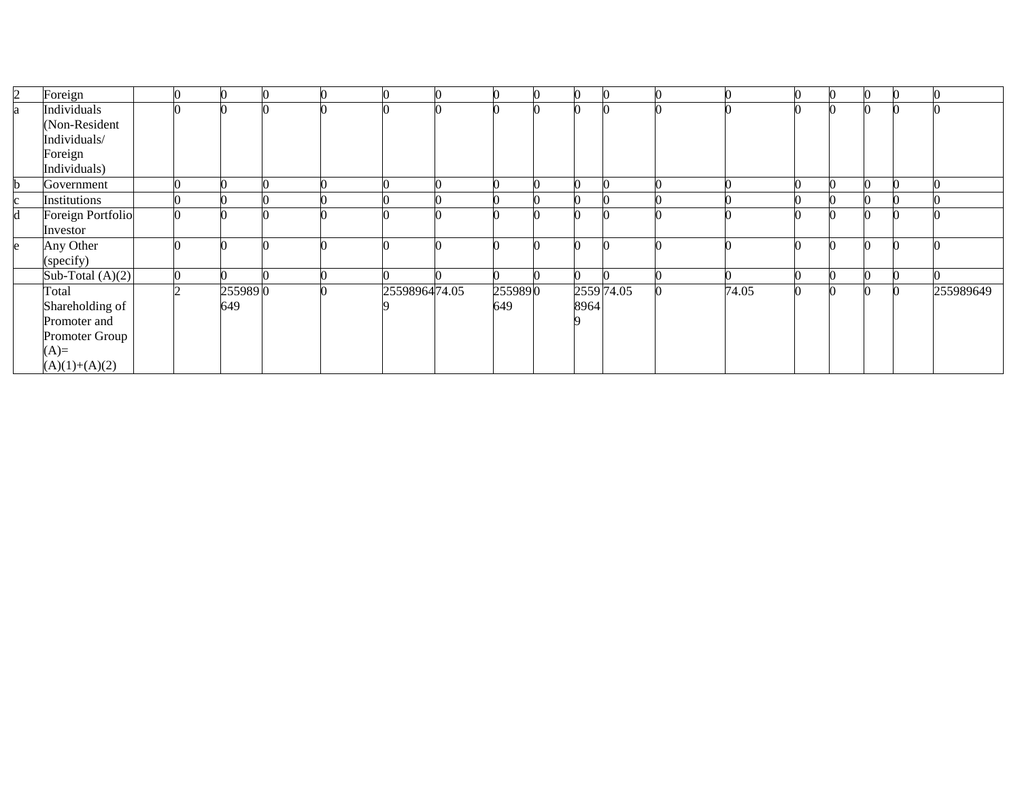| 2 | Foreign            |  |         |  |               |         |      |            |       | $\Omega$ |  |           |
|---|--------------------|--|---------|--|---------------|---------|------|------------|-------|----------|--|-----------|
| a | Individuals        |  |         |  |               |         |      |            |       |          |  |           |
|   | (Non-Resident      |  |         |  |               |         |      |            |       |          |  |           |
|   | Individuals/       |  |         |  |               |         |      |            |       |          |  |           |
|   | Foreign            |  |         |  |               |         |      |            |       |          |  |           |
|   | Individuals)       |  |         |  |               |         |      |            |       |          |  |           |
|   | Government         |  |         |  |               |         |      |            |       |          |  |           |
|   | Institutions       |  |         |  |               |         |      |            |       |          |  |           |
|   | Foreign Portfolio  |  |         |  |               |         |      |            |       |          |  |           |
|   | Investor           |  |         |  |               |         |      |            |       |          |  |           |
|   | Any Other          |  |         |  |               |         |      |            |       |          |  |           |
|   | (specify)          |  |         |  |               |         |      |            |       |          |  |           |
|   | Sub-Total $(A)(2)$ |  |         |  |               |         |      |            |       |          |  |           |
|   | Total              |  | 2559890 |  | 2559896474.05 | 2559890 |      | 2559 74.05 | 74.05 |          |  | 255989649 |
|   | Shareholding of    |  | 649     |  |               | 649     | 8964 |            |       |          |  |           |
|   | Promoter and       |  |         |  |               |         |      |            |       |          |  |           |
|   | Promoter Group     |  |         |  |               |         |      |            |       |          |  |           |
|   | $(A)=$             |  |         |  |               |         |      |            |       |          |  |           |
|   | $(A)(1)+(A)(2)$    |  |         |  |               |         |      |            |       |          |  |           |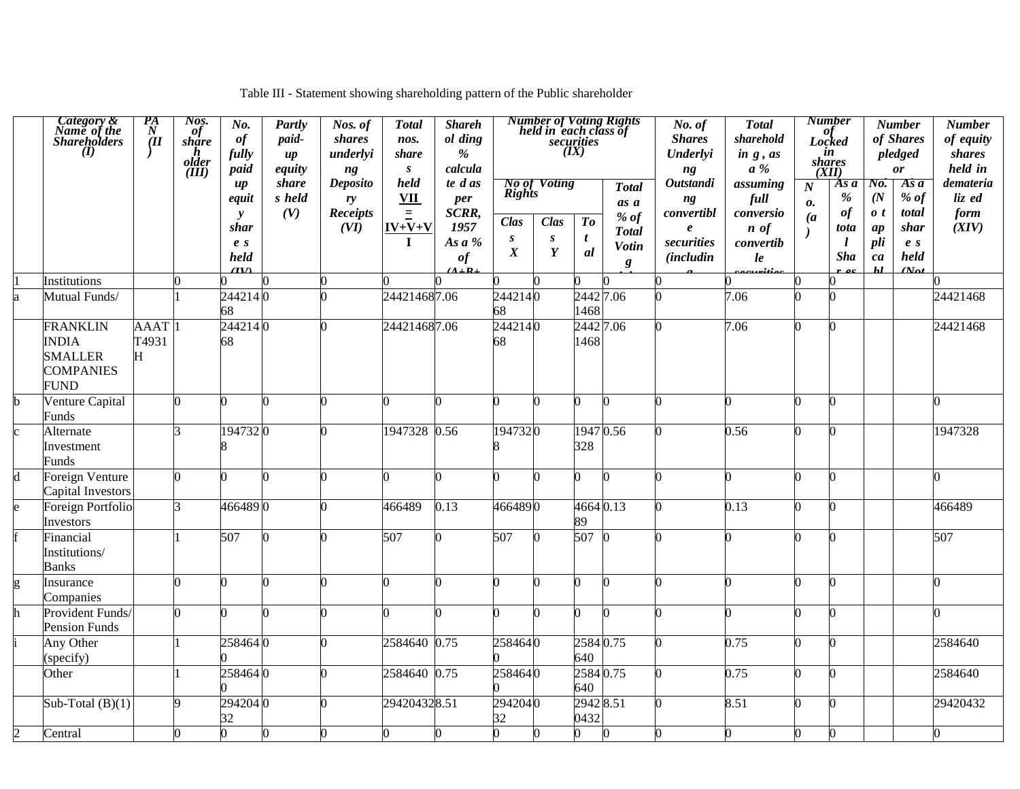| Table III - Statement showing shareholding pattern of the Public shareholder |  |
|------------------------------------------------------------------------------|--|
|------------------------------------------------------------------------------|--|

|                | Category &<br>Name of the<br>Shareholders<br>$\overline{(\mathbf{I})}$               | $\frac{P_{A}}{N}$         | Nos.<br>of<br>share<br>h<br>older<br>(III) | No.<br>of<br>fully<br>paid                                               | Partly<br>paid-<br>$\boldsymbol{u}$<br>equity | Nos. of<br>shares<br>underlyi<br>ng              | <b>Total</b><br>nos.<br>share<br>$\boldsymbol{S}$          | <b>Shareh</b><br>ol ding<br>$\frac{9}{6}$<br>calcula             |                                                        |                                                                     | (IX)                                                 | <b>Number of Voting Rights</b><br>held in each class of<br>securities | No. of<br><b>Shares</b><br>Underlyi<br>ng                                                  | <b>Total</b><br>sharehold<br>in $g$ , $as$<br>$a\%$                                | <b>Number</b><br>(XII)                   | of<br>Locked<br>in<br>shares                     |                                                                                   | <b>Number</b><br>of Shares<br>pledged<br><b>or</b>                        | <b>Number</b><br>of equity<br>shares<br>held in |
|----------------|--------------------------------------------------------------------------------------|---------------------------|--------------------------------------------|--------------------------------------------------------------------------|-----------------------------------------------|--------------------------------------------------|------------------------------------------------------------|------------------------------------------------------------------|--------------------------------------------------------|---------------------------------------------------------------------|------------------------------------------------------|-----------------------------------------------------------------------|--------------------------------------------------------------------------------------------|------------------------------------------------------------------------------------|------------------------------------------|--------------------------------------------------|-----------------------------------------------------------------------------------|---------------------------------------------------------------------------|-------------------------------------------------|
|                |                                                                                      |                           |                                            | $\mu$<br>equit<br>$\mathbf{y}$<br>shar<br>e <sub>s</sub><br>held<br>(TV) | share<br>s held<br>(V)                        | <b>Deposito</b><br>ry<br><b>Receipts</b><br>(VI) | held<br><b>VII</b><br>$\equiv$<br>$IV+V+V$<br>$\mathbf{I}$ | te d as<br>per<br>SCRR,<br>1957<br>As $a$ %<br>of<br>$A \perp R$ | Rights<br>Clas<br>$\boldsymbol{S}$<br>$\boldsymbol{X}$ | <b>No of Voting</b><br>Clas<br>$\boldsymbol{s}$<br>$\boldsymbol{Y}$ | $\boldsymbol{\mathit{To}}$<br>$\boldsymbol{t}$<br>al | <b>Total</b><br>as a<br>% $of$<br><b>Total</b><br>Votin<br>$\pmb{g}$  | <b>Outstandi</b><br>ng<br>convertibl<br>$\boldsymbol{e}$<br>securities<br><i>(includin</i> | assuming<br>full<br>conversio<br>$\boldsymbol{n}$ of<br>convertib<br>le<br>aawitia | $\boldsymbol{N}$<br>0.<br>$\overline{a}$ | As a<br>%<br>of<br>tota<br>$\iota$<br><b>Sha</b> | No.<br>(N <sup>2</sup> )<br>$\boldsymbol{0}$ t<br>ap<br>pli<br>ca<br>$\mathbf{h}$ | Asa<br>$%$ of<br>total<br>shar<br>e <sub>s</sub><br>held<br>$N_{\alpha}t$ | demateria<br>liz ed<br>form<br>(XIV)            |
|                | Institutions                                                                         |                           | n                                          |                                                                          |                                               |                                                  |                                                            |                                                                  |                                                        |                                                                     |                                                      |                                                                       |                                                                                            |                                                                                    |                                          |                                                  |                                                                                   |                                                                           |                                                 |
| a              | Mutual Funds/                                                                        |                           |                                            | 2442140<br>68                                                            |                                               |                                                  | 244214687.06                                               |                                                                  | 2442140<br>68                                          |                                                                     | 24427.06<br>1468                                     |                                                                       |                                                                                            | 7.06                                                                               |                                          |                                                  |                                                                                   |                                                                           | 24421468                                        |
|                | <b>FRANKLIN</b><br><b>INDIA</b><br><b>SMALLER</b><br><b>COMPANIES</b><br><b>FUND</b> | <b>AAAT</b><br>T4931<br>H |                                            | 2442140<br>68                                                            |                                               |                                                  | 244214687.06                                               |                                                                  | 2442140<br>68                                          |                                                                     | 2442 7.06<br>1468                                    |                                                                       |                                                                                            | 7.06                                                                               | <sup>o</sup>                             |                                                  |                                                                                   |                                                                           | 24421468                                        |
| h              | Venture Capital<br>Funds                                                             |                           | <sup>0</sup>                               |                                                                          |                                               |                                                  |                                                            |                                                                  | n                                                      |                                                                     |                                                      |                                                                       |                                                                                            |                                                                                    | 0                                        |                                                  |                                                                                   |                                                                           |                                                 |
|                | Alternate<br>Investment<br>Funds                                                     |                           | っ                                          | 1947320                                                                  |                                               |                                                  | 1947328                                                    | 0.56                                                             | 1947320                                                |                                                                     | 1947 0.56<br>328                                     |                                                                       |                                                                                            | 0.56                                                                               | ∩                                        |                                                  |                                                                                   |                                                                           | 1947328                                         |
| d              | Foreign Venture<br>Capital Investors                                                 |                           | <sup>0</sup>                               |                                                                          |                                               |                                                  |                                                            |                                                                  |                                                        |                                                                     |                                                      |                                                                       |                                                                                            | n                                                                                  | <sup>o</sup>                             |                                                  |                                                                                   |                                                                           |                                                 |
|                | Foreign Portfolio<br>Investors                                                       |                           | 3                                          | 4664890                                                                  |                                               |                                                  | 466489                                                     | 0.13                                                             | 4664890                                                |                                                                     | 46640.13<br>89                                       |                                                                       |                                                                                            | 0.13                                                                               | ∩                                        |                                                  |                                                                                   |                                                                           | 466489                                          |
|                | Financial<br>Institutions/<br><b>Banks</b>                                           |                           |                                            | 507                                                                      | O                                             |                                                  | 507                                                        |                                                                  | 507                                                    |                                                                     | 507                                                  |                                                                       |                                                                                            |                                                                                    |                                          |                                                  |                                                                                   |                                                                           | 507                                             |
| g              | Insurance<br>Companies                                                               |                           | O.                                         |                                                                          |                                               |                                                  |                                                            |                                                                  |                                                        |                                                                     |                                                      |                                                                       |                                                                                            | n                                                                                  | 0                                        |                                                  |                                                                                   |                                                                           |                                                 |
|                | Provident Funds/<br><b>Pension Funds</b>                                             |                           | n.                                         |                                                                          | O                                             |                                                  |                                                            |                                                                  |                                                        |                                                                     |                                                      |                                                                       |                                                                                            |                                                                                    | <sup>o</sup>                             |                                                  |                                                                                   |                                                                           |                                                 |
|                | Any Other<br>(specify)                                                               |                           |                                            | 2584640                                                                  |                                               |                                                  | 2584640 0.75                                               |                                                                  | 2584640                                                |                                                                     | 2584 0.75<br>640                                     |                                                                       |                                                                                            | 0.75                                                                               | 0                                        |                                                  |                                                                                   |                                                                           | 2584640                                         |
|                | Other                                                                                |                           |                                            | 2584640                                                                  |                                               |                                                  | 2584640 0.75                                               |                                                                  | 2584640                                                |                                                                     | 2584 0.75<br>640                                     |                                                                       |                                                                                            | 0.75                                                                               | 0                                        |                                                  |                                                                                   |                                                                           | 2584640                                         |
|                | Sub-Total $(B)(1)$                                                                   |                           | Q                                          | 2942040<br>32                                                            |                                               |                                                  | 294204328.51                                               |                                                                  | 2942040<br>32                                          |                                                                     | 2942 8.51<br>0432                                    |                                                                       |                                                                                            | 8.51                                                                               | n                                        |                                                  |                                                                                   |                                                                           | 29420432                                        |
| $\overline{2}$ | Central                                                                              |                           | 0                                          | 0                                                                        | $\bf{0}$                                      |                                                  |                                                            |                                                                  | 0                                                      | 0                                                                   |                                                      |                                                                       |                                                                                            | 0                                                                                  | 0                                        |                                                  |                                                                                   |                                                                           |                                                 |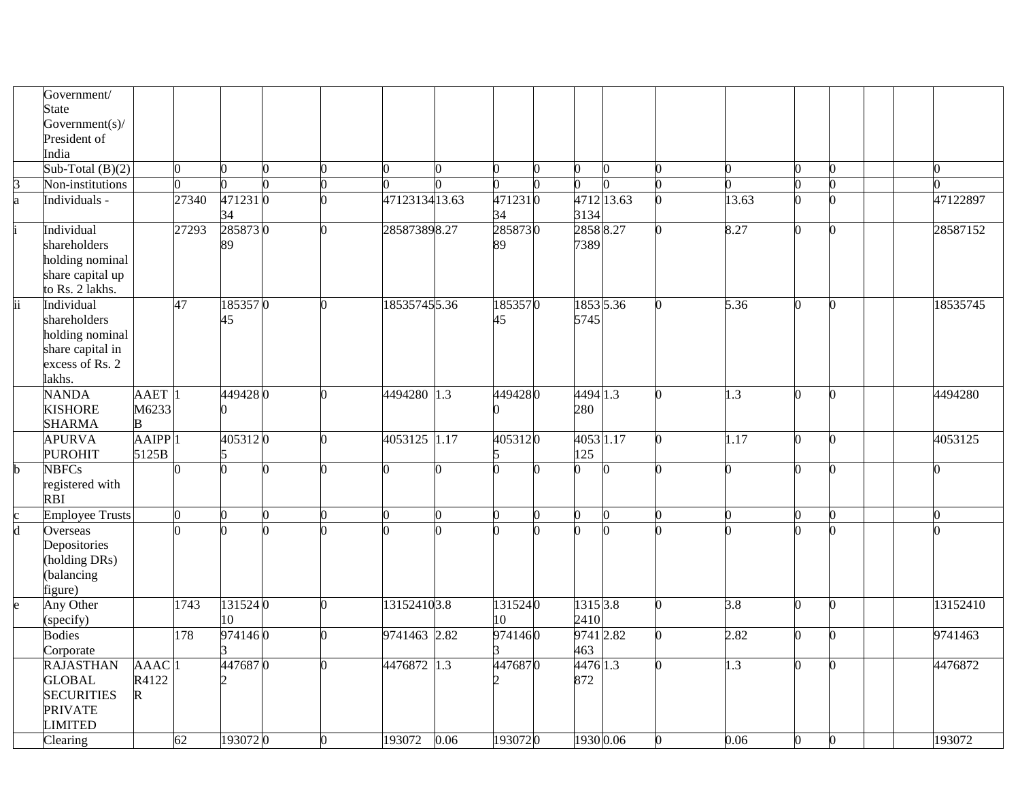|                         | Government/<br>State<br>Government(s)/<br>President of                                         |                                   |       |               |   |               |      |               |                              |  |                  |              |  |                   |
|-------------------------|------------------------------------------------------------------------------------------------|-----------------------------------|-------|---------------|---|---------------|------|---------------|------------------------------|--|------------------|--------------|--|-------------------|
|                         | India<br>Sub-Total $(B)(2)$                                                                    |                                   |       |               |   |               |      |               | O                            |  |                  | n            |  |                   |
| 3                       | Non-institutions                                                                               |                                   |       |               |   |               |      |               | O                            |  |                  |              |  |                   |
| a                       | Individuals -                                                                                  |                                   | 27340 | 4712310<br>34 |   | 4712313413.63 |      | 4712310<br>34 | 4712 13.63<br>3134           |  | 13.63            | <sup>o</sup> |  | 47122897          |
|                         | Individual<br>shareholders<br>holding nominal<br>share capital up<br>to Rs. 2 lakhs.           |                                   | 27293 | 2858730<br>89 |   | 285873898.27  |      | 2858730<br>89 | 28588.27<br>7389             |  | 8.27             | 0            |  | 28587152          |
| ii                      | Individual<br>shareholders<br>holding nominal<br>share capital in<br>excess of Rs. 2<br>lakhs. |                                   | 47    | 1853570<br>45 |   | 185357455.36  |      | 1853570<br>45 | 1853 5.36<br>5745            |  | 5.36             | 0            |  | 18535745          |
|                         | <b>NANDA</b><br><b>KISHORE</b><br><b>SHARMA</b>                                                | AAET <sup>1</sup><br>M6233<br>В   |       | 4494280       | 0 | 4494280 1.3   |      | 4494280       | 4494 1.3<br>280              |  | $1.\overline{3}$ | 0            |  | 4494280           |
|                         | <b>APURVA</b><br><b>PUROHIT</b>                                                                | $A A I P P$ <sup>1</sup><br>5125B |       | 4053120       |   | 4053125 1.17  |      | 4053120       | 4053 1.17<br>125             |  | 1.17             | 0            |  | 4053125           |
| h.                      | <b>NBFCs</b><br>registered with<br><b>RBI</b>                                                  |                                   |       |               |   |               |      |               | n                            |  |                  | 0            |  |                   |
|                         | <b>Employee Trusts</b>                                                                         |                                   |       |               |   |               |      |               | O.                           |  |                  | 0            |  |                   |
| $\overline{\mathsf{d}}$ | Overseas<br>Depositories<br>(holding DRs)<br>(balancing<br>figure)                             |                                   |       |               |   |               |      |               |                              |  |                  | 0            |  |                   |
|                         | Any Other<br>(specify)                                                                         |                                   | 1743  | 1315240<br>10 |   | 131524103.8   |      | 1315240<br>10 | 1315 3.8<br>2410             |  | 3.8              | n            |  | 13152410          |
|                         | <b>Bodies</b><br>Corporate                                                                     |                                   | 178   | 9741460       |   | 9741463 2.82  |      | 9741460       | 9741 2.82<br>463             |  | 2.82             | n            |  | 9741463           |
|                         | <b>RAJASTHAN</b><br><b>GLOBAL</b><br><b>SECURITIES</b><br><b>PRIVATE</b><br><b>LIMITED</b>     | AAAC <sup>1</sup><br>R4122<br>R   | 62    | 4476870       |   | 4476872 1.3   |      | 4476870       | 4476 1.3<br>872<br>1930 0.06 |  | 1.3<br>0.06      | 0<br>0       |  | 4476872<br>193072 |
|                         | Clearing                                                                                       |                                   |       | 1930720       |   | 193072        | 0.06 | 1930720       |                              |  |                  |              |  |                   |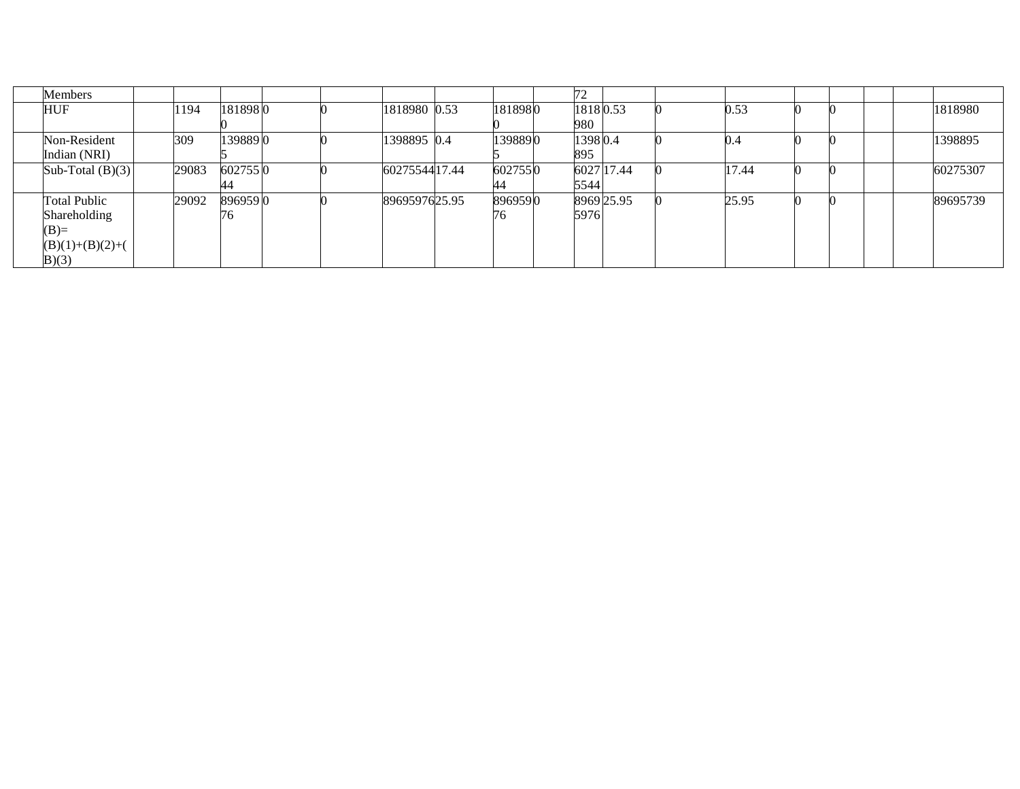| <b>Members</b>      |       |         |  |               |         | 72       |            |       |  |          |
|---------------------|-------|---------|--|---------------|---------|----------|------------|-------|--|----------|
| <b>HUF</b>          | 1194  | 1818980 |  | 1818980 0.53  | 1818980 | 18180.53 |            | 0.53  |  | 1818980  |
|                     |       |         |  |               |         | 980-     |            |       |  |          |
| Non-Resident        | 309   | 1398890 |  | 1398895 0.4   | 1398890 | 13980.4  |            | 0.4   |  | 1398895  |
| Indian (NRI)        |       |         |  |               |         | 895      |            |       |  |          |
| Sub-Total $(B)(3)$  | 29083 | 6027550 |  | 6027554417.44 | 6027550 |          | 6027 17.44 | 17.44 |  | 60275307 |
|                     |       | 44.     |  |               | 44      | 5544     |            |       |  |          |
| <b>Total Public</b> | 29092 | 8969590 |  | 8969597625.95 | 8969590 |          | 8969 25.95 | 25.95 |  | 89695739 |
| Shareholding        |       | 176     |  |               | 76      | 5976     |            |       |  |          |
| $(B)=$              |       |         |  |               |         |          |            |       |  |          |
| $(B)(1)+(B)(2)+($   |       |         |  |               |         |          |            |       |  |          |
| B(3)                |       |         |  |               |         |          |            |       |  |          |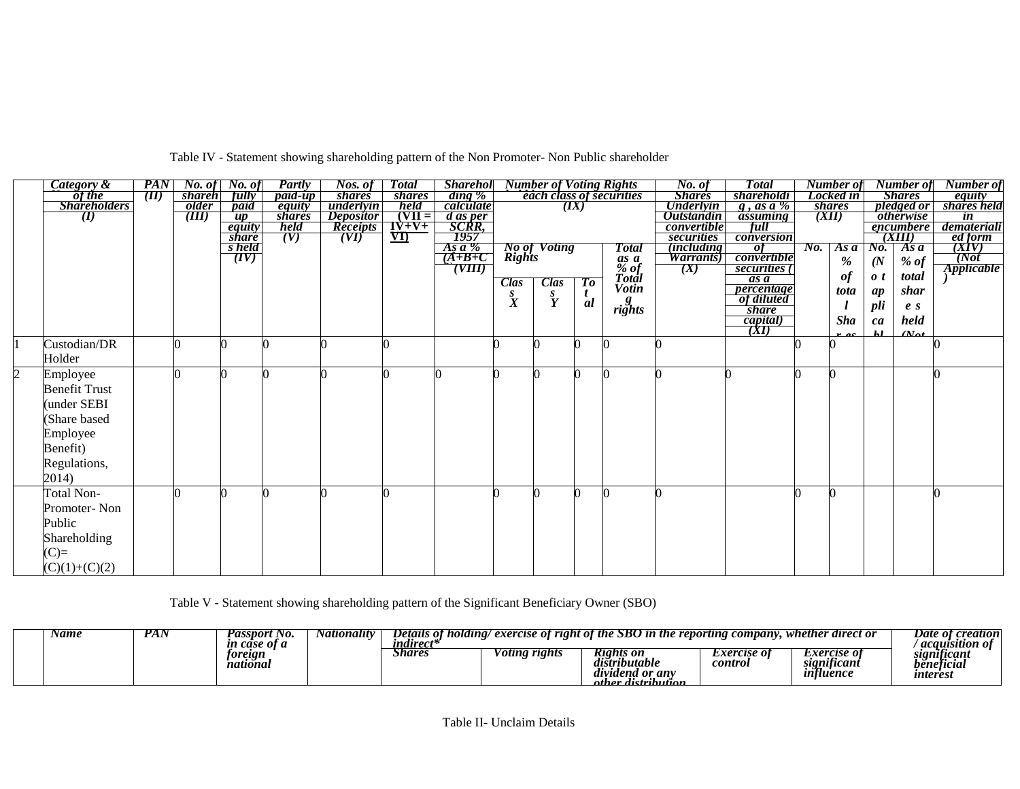|                | <b>Category &amp;</b> | <b>PAN</b> |               | <b><i>No. of</i></b> <i>No. of</i> | Partly         | Nos. of          | <b>Total</b>                | <b>Sharehol</b>           |                  | <b>Number of Voting Rights</b>       |      |                                 | No. of                           | <b>Total</b>            |     | Number of     |                    | Number of               | Number of                |
|----------------|-----------------------|------------|---------------|------------------------------------|----------------|------------------|-----------------------------|---------------------------|------------------|--------------------------------------|------|---------------------------------|----------------------------------|-------------------------|-----|---------------|--------------------|-------------------------|--------------------------|
|                | of the                | (II)       | <i>shareh</i> | fully                              | <i>paid-up</i> | <i>shares</i>    | <i>shares</i>               | ding %<br>calculate       |                  |                                      |      | <i>each class of securities</i> | <b>Shares</b>                    | shareholdi              |     | Locked in     |                    | <b>Shares</b>           | equity<br>shares held    |
|                | <b>Shareholders</b>   |            | older         | paid                               | equity         | underlyin        | held                        |                           |                  |                                      | (IX) |                                 | <b>Underlyin</b>                 | $g$ , as a %            |     | <i>shares</i> |                    | pledged or              |                          |
|                | $\bf{U}$              |            | (III)         | $\overline{up}$                    | shares         | <i>Depositor</i> | $(VII =$                    |                           |                  |                                      |      |                                 | <b>Outstandin</b>                | assuming                |     | (XII)         |                    | <i><b>otherwise</b></i> | $\overline{\mathbf{m}}$  |
|                |                       |            |               | equity<br><i>share</i>             | held<br>(V)    | <b>Receipts</b>  | $I\dot{V}+V+$<br>$\sqrt{1}$ | d as per<br>SCRR,<br>1957 |                  |                                      |      |                                 | <i>convertible</i><br>securities | full<br>conversion      |     |               |                    | encumbere<br>(XIII)     | demateriali              |
|                |                       |            |               | s held                             |                | (VI)             |                             |                           |                  |                                      |      | <b>Total</b>                    | <i>(including)</i>               | $\overline{of}$         | No. | Asa           | No.                | Asa                     |                          |
|                |                       |            |               | (TV)                               |                |                  |                             | $\frac{As a \%}{(A+B+C)}$ |                  | <b>No of Voting</b><br><b>Rights</b> |      |                                 | <i>Warrants</i> )                | convertible             |     |               |                    |                         | ed form<br>(XIV)<br>(Not |
|                |                       |            |               |                                    |                |                  |                             | (VIII)                    |                  |                                      |      |                                 | (X)                              | securities (            |     | $\%$          | (N)                | $%$ of                  | <i><b>Applicable</b></i> |
|                |                       |            |               |                                    |                |                  |                             |                           | Clas             | <b>Clas</b>                          | To   | as a<br>% of<br>Total           |                                  | as a                    |     | of            | $\boldsymbol{0}$ t | total                   |                          |
|                |                       |            |               |                                    |                |                  |                             |                           |                  |                                      | t    | <b>Votin</b>                    |                                  | percentage              |     | tota          | ap                 | shar                    |                          |
|                |                       |            |               |                                    |                |                  |                             |                           | $\overset{s}{X}$ | $\mathbf{\tilde{Y}}$                 | al   | $\mathit{rights}^g$             |                                  | of diluted              |     |               | pli                | e <sub>s</sub>          |                          |
|                |                       |            |               |                                    |                |                  |                             |                           |                  |                                      |      |                                 |                                  | <i>share</i>            |     |               |                    |                         |                          |
|                |                       |            |               |                                    |                |                  |                             |                           |                  |                                      |      |                                 |                                  | $\frac{capital)}{(XI)}$ |     | <b>Sha</b>    | ca                 | held                    |                          |
|                | Custodian/DR          |            |               |                                    |                |                  |                             |                           |                  |                                      |      |                                 |                                  |                         |     |               | 1.1                | $(M_{\alpha})$          |                          |
|                |                       |            |               |                                    |                |                  |                             |                           |                  |                                      |      |                                 |                                  |                         |     |               |                    |                         |                          |
|                | Holder                |            |               |                                    |                |                  |                             |                           |                  |                                      |      |                                 |                                  |                         |     |               |                    |                         |                          |
| $\overline{2}$ | Employee              |            |               |                                    |                |                  |                             |                           |                  |                                      |      |                                 |                                  |                         |     |               |                    |                         |                          |
|                | <b>Benefit Trust</b>  |            |               |                                    |                |                  |                             |                           |                  |                                      |      |                                 |                                  |                         |     |               |                    |                         |                          |
|                | under SEBI            |            |               |                                    |                |                  |                             |                           |                  |                                      |      |                                 |                                  |                         |     |               |                    |                         |                          |
|                | Share based           |            |               |                                    |                |                  |                             |                           |                  |                                      |      |                                 |                                  |                         |     |               |                    |                         |                          |
|                | Employee              |            |               |                                    |                |                  |                             |                           |                  |                                      |      |                                 |                                  |                         |     |               |                    |                         |                          |
|                | Benefit)              |            |               |                                    |                |                  |                             |                           |                  |                                      |      |                                 |                                  |                         |     |               |                    |                         |                          |
|                |                       |            |               |                                    |                |                  |                             |                           |                  |                                      |      |                                 |                                  |                         |     |               |                    |                         |                          |
|                | Regulations,          |            |               |                                    |                |                  |                             |                           |                  |                                      |      |                                 |                                  |                         |     |               |                    |                         |                          |
|                | 2014)                 |            |               |                                    |                |                  |                             |                           |                  |                                      |      |                                 |                                  |                         |     |               |                    |                         |                          |
|                | Total Non-            |            |               |                                    |                |                  |                             |                           |                  |                                      |      |                                 |                                  |                         |     |               |                    |                         |                          |
|                | Promoter-Non          |            |               |                                    |                |                  |                             |                           |                  |                                      |      |                                 |                                  |                         |     |               |                    |                         |                          |
|                | Public                |            |               |                                    |                |                  |                             |                           |                  |                                      |      |                                 |                                  |                         |     |               |                    |                         |                          |
|                |                       |            |               |                                    |                |                  |                             |                           |                  |                                      |      |                                 |                                  |                         |     |               |                    |                         |                          |
|                | Shareholding          |            |               |                                    |                |                  |                             |                           |                  |                                      |      |                                 |                                  |                         |     |               |                    |                         |                          |
|                | $(C)=$                |            |               |                                    |                |                  |                             |                           |                  |                                      |      |                                 |                                  |                         |     |               |                    |                         |                          |
|                | $(C)(1)+(C)(2)$       |            |               |                                    |                |                  |                             |                           |                  |                                      |      |                                 |                                  |                         |     |               |                    |                         |                          |

Table IV - Statement showing shareholding pattern of the Non Promoter- Non Public shareholder

Table V - Statement showing shareholding pattern of the Significant Beneficiary Owner (SBO)

| Name | D<br>r Af | ssport No.<br>case of a | Nationality | Details of<br>holding/<br><i>undurect*</i> | ' exercise of right of the $\mathcal E$ | <b>SBO</b> in the ren                                          | $\mathit{common}$<br>reportung | whether<br>r direct or                                | creation<br>Date<br>2 OI 4<br>acauisition   |
|------|-----------|-------------------------|-------------|--------------------------------------------|-----------------------------------------|----------------------------------------------------------------|--------------------------------|-------------------------------------------------------|---------------------------------------------|
|      |           | toreign<br>nationai     |             | Share:                                     | r rights<br>'otıng                      | Kights on<br>ubutable<br>dividend or any<br>ather distribution | <i>Exercise of</i><br>control  | <i>Exercise of</i><br>significant<br>يرت<br>influence | significant<br>beneticial<br><i>unteres</i> |